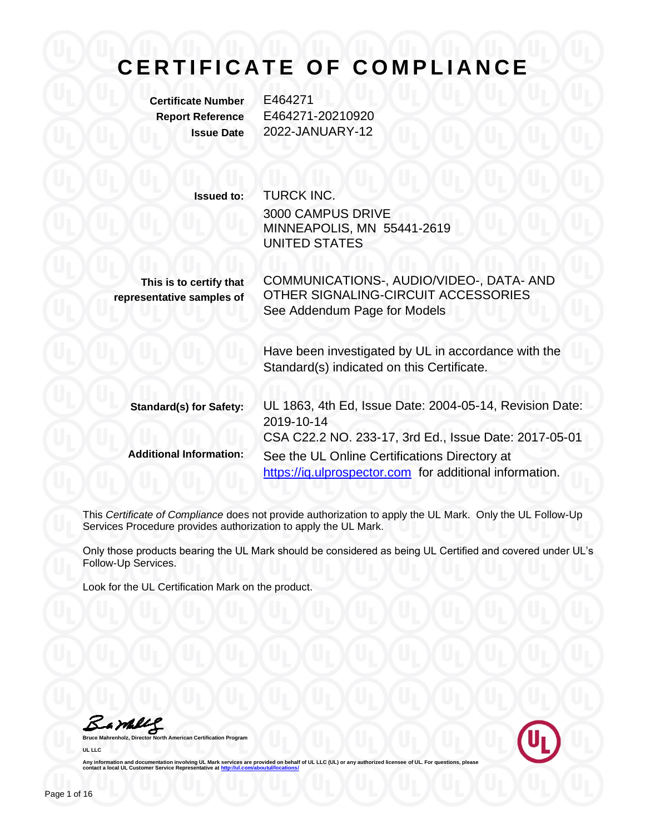**Certificate Number** E464271

**Report Reference** E464271-20210920 **Issue Date** 2022-JANUARY-12

> **Issued to:** TURCK INC. 3000 CAMPUS DRIVE MINNEAPOLIS, MN 55441-2619 UNITED STATES

**This is to certify that representative samples of** COMMUNICATIONS-, AUDIO/VIDEO-, DATA- AND OTHER SIGNALING-CIRCUIT ACCESSORIES See Addendum Page for Models

> Have been investigated by UL in accordance with the Standard(s) indicated on this Certificate.

| <b>Standard(s) for Safety:</b> | UL 1863, 4th Ed, Issue Date: 2004-05-14, Revision Date: |  |
|--------------------------------|---------------------------------------------------------|--|
|                                | 2019-10-14                                              |  |
|                                | CSA C22.2 NO. 233-17, 3rd Ed., Issue Date: 2017-05-01   |  |
| <b>Additional Information:</b> | See the UL Online Certifications Directory at           |  |
|                                | https://ig.ulprospector.com for additional information. |  |

This *Certificate of Compliance* does not provide authorization to apply the UL Mark. Only the UL Follow-Up Services Procedure provides authorization to apply the UL Mark.

Only those products bearing the UL Mark should be considered as being UL Certified and covered under UL's Follow-Up Services.

Look for the UL Certification Mark on the product.

Bambly

**Bruce Mahrenholz, Director North American Certification Program UL LLC**

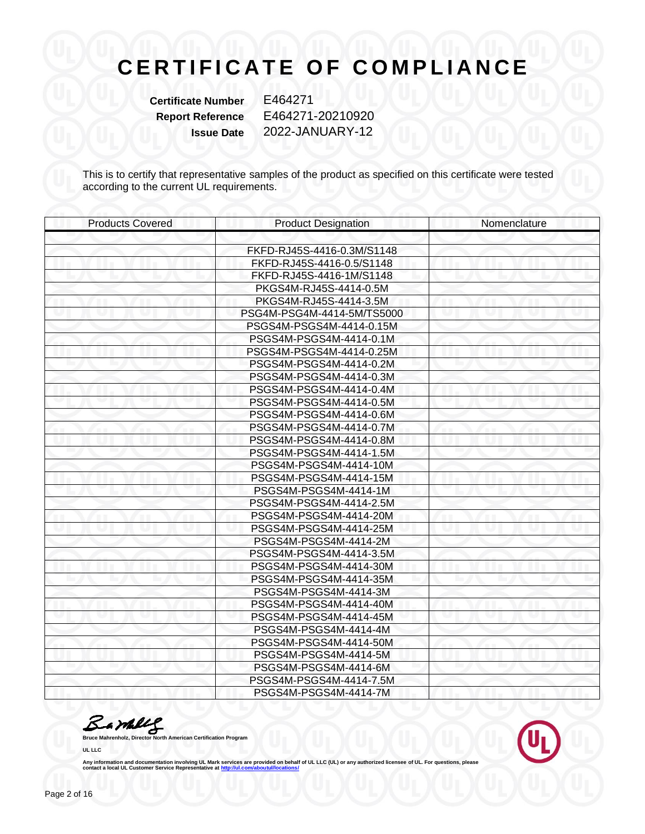**Certificate Number** E464271

**Report Reference** E464271-20210920 **Issue Date** 2022-JANUARY-12

This is to certify that representative samples of the product as specified on this certificate were tested according to the current UL requirements.

| <b>Products Covered</b> | <b>Product Designation</b> | Nomenclature |
|-------------------------|----------------------------|--------------|
|                         |                            |              |
|                         | FKFD-RJ45S-4416-0.3M/S1148 |              |
|                         | FKFD-RJ45S-4416-0.5/S1148  |              |
|                         | FKFD-RJ45S-4416-1M/S1148   |              |
|                         | PKGS4M-RJ45S-4414-0.5M     |              |
|                         | PKGS4M-RJ45S-4414-3.5M     |              |
|                         | PSG4M-PSG4M-4414-5M/TS5000 |              |
|                         | PSGS4M-PSGS4M-4414-0.15M   |              |
|                         | PSGS4M-PSGS4M-4414-0.1M    |              |
|                         | PSGS4M-PSGS4M-4414-0.25M   |              |
|                         | PSGS4M-PSGS4M-4414-0.2M    |              |
|                         | PSGS4M-PSGS4M-4414-0.3M    |              |
|                         | PSGS4M-PSGS4M-4414-0.4M    |              |
|                         | PSGS4M-PSGS4M-4414-0.5M    |              |
|                         | PSGS4M-PSGS4M-4414-0.6M    |              |
|                         | PSGS4M-PSGS4M-4414-0.7M    |              |
|                         | PSGS4M-PSGS4M-4414-0.8M    |              |
|                         | PSGS4M-PSGS4M-4414-1.5M    |              |
|                         | PSGS4M-PSGS4M-4414-10M     |              |
|                         | PSGS4M-PSGS4M-4414-15M     |              |
|                         | PSGS4M-PSGS4M-4414-1M      |              |
|                         | PSGS4M-PSGS4M-4414-2.5M    |              |
|                         | PSGS4M-PSGS4M-4414-20M     |              |
|                         | PSGS4M-PSGS4M-4414-25M     |              |
|                         | PSGS4M-PSGS4M-4414-2M      |              |
|                         | PSGS4M-PSGS4M-4414-3.5M    |              |
|                         | PSGS4M-PSGS4M-4414-30M     |              |
|                         | PSGS4M-PSGS4M-4414-35M     |              |
|                         | PSGS4M-PSGS4M-4414-3M      |              |
|                         | PSGS4M-PSGS4M-4414-40M     |              |
|                         | PSGS4M-PSGS4M-4414-45M     |              |
|                         | PSGS4M-PSGS4M-4414-4M      |              |
|                         | PSGS4M-PSGS4M-4414-50M     |              |
|                         | PSGS4M-PSGS4M-4414-5M      |              |
|                         | PSGS4M-PSGS4M-4414-6M      |              |
|                         | PSGS4M-PSGS4M-4414-7.5M    |              |
|                         | PSGS4M-PSGS4M-4414-7M      |              |

Barkey

**Bruce Mahrenholz, Director North American Certification Program UL LLC**

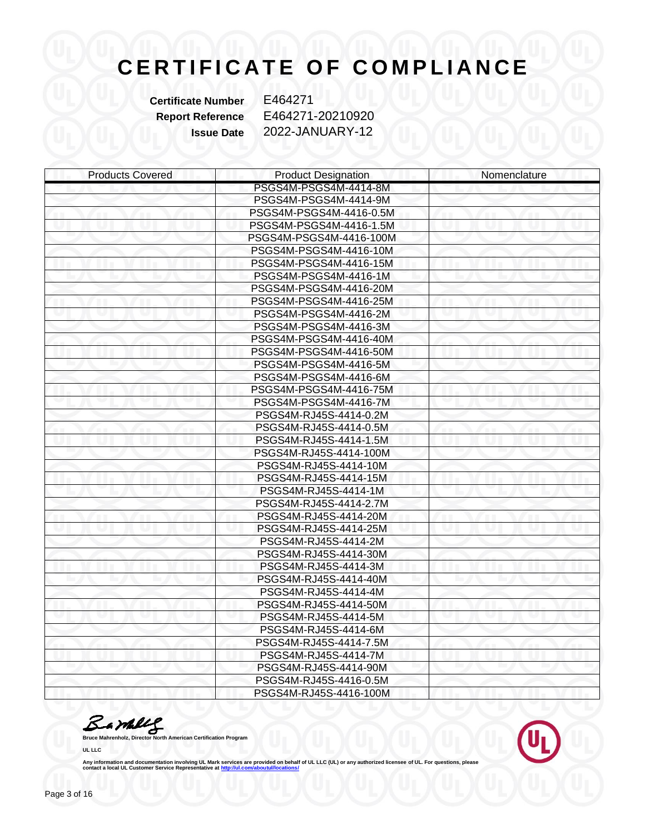**Certificate Number** E464271

**Report Reference** E464271-20210920 **Issue Date** 2022-JANUARY-12

| <b>Products Covered</b> | <b>Product Designation</b> | Nomenclature |
|-------------------------|----------------------------|--------------|
|                         | PSGS4M-PSGS4M-4414-8M      |              |
|                         | PSGS4M-PSGS4M-4414-9M      |              |
|                         | PSGS4M-PSGS4M-4416-0.5M    |              |
|                         | PSGS4M-PSGS4M-4416-1.5M    |              |
|                         | PSGS4M-PSGS4M-4416-100M    |              |
|                         | PSGS4M-PSGS4M-4416-10M     |              |
|                         | PSGS4M-PSGS4M-4416-15M     |              |
|                         | PSGS4M-PSGS4M-4416-1M      |              |
|                         | PSGS4M-PSGS4M-4416-20M     |              |
|                         | PSGS4M-PSGS4M-4416-25M     |              |
|                         | PSGS4M-PSGS4M-4416-2M      |              |
|                         | PSGS4M-PSGS4M-4416-3M      |              |
|                         | PSGS4M-PSGS4M-4416-40M     |              |
|                         | PSGS4M-PSGS4M-4416-50M     |              |
|                         | PSGS4M-PSGS4M-4416-5M      |              |
|                         | PSGS4M-PSGS4M-4416-6M      |              |
|                         | PSGS4M-PSGS4M-4416-75M     |              |
|                         | PSGS4M-PSGS4M-4416-7M      |              |
|                         | PSGS4M-RJ45S-4414-0.2M     |              |
|                         | PSGS4M-RJ45S-4414-0.5M     |              |
|                         | PSGS4M-RJ45S-4414-1.5M     |              |
|                         | PSGS4M-RJ45S-4414-100M     |              |
|                         | PSGS4M-RJ45S-4414-10M      |              |
|                         | PSGS4M-RJ45S-4414-15M      |              |
|                         | PSGS4M-RJ45S-4414-1M       |              |
|                         | PSGS4M-RJ45S-4414-2.7M     |              |
|                         | PSGS4M-RJ45S-4414-20M      |              |
|                         | PSGS4M-RJ45S-4414-25M      |              |
|                         | PSGS4M-RJ45S-4414-2M       |              |
|                         | PSGS4M-RJ45S-4414-30M      |              |
|                         | PSGS4M-RJ45S-4414-3M       |              |
|                         | PSGS4M-RJ45S-4414-40M      |              |
|                         | PSGS4M-RJ45S-4414-4M       |              |
|                         | PSGS4M-RJ45S-4414-50M      |              |
|                         | PSGS4M-RJ45S-4414-5M       |              |
|                         | PSGS4M-RJ45S-4414-6M       |              |
|                         | PSGS4M-RJ45S-4414-7.5M     |              |
|                         | PSGS4M-RJ45S-4414-7M       |              |
|                         | PSGS4M-RJ45S-4414-90M      |              |
|                         | PSGS4M-RJ45S-4416-0.5M     |              |
|                         | PSGS4M-RJ45S-4416-100M     |              |

**Bruce Mahrenholz, Director North American Certification Program** 

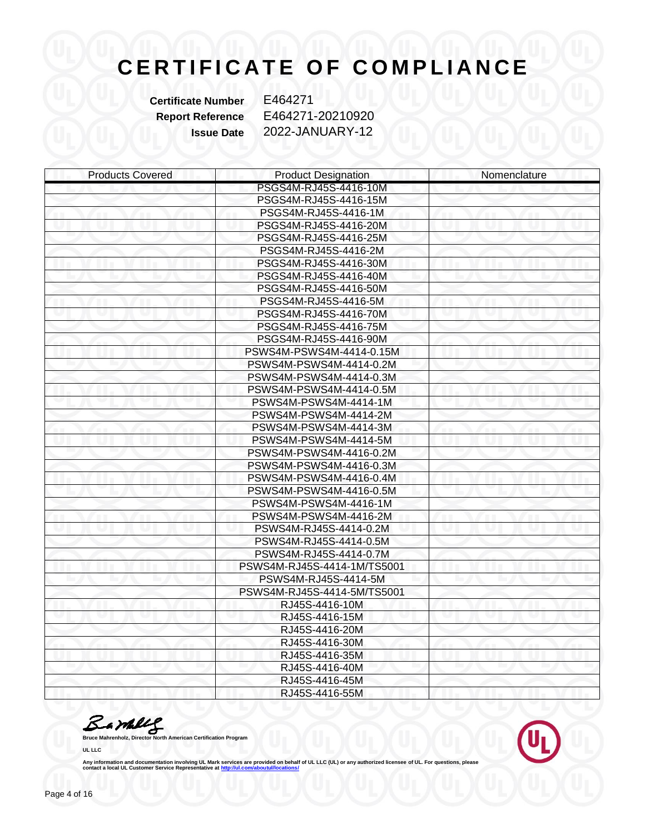**Certificate Number** E464271

**Report Reference** E464271-20210920 **Issue Date** 2022-JANUARY-12

| <b>Products Covered</b> | <b>Product Designation</b>  | Nomenclature |
|-------------------------|-----------------------------|--------------|
|                         | PSGS4M-RJ45S-4416-10M       |              |
|                         | PSGS4M-RJ45S-4416-15M       |              |
|                         | PSGS4M-RJ45S-4416-1M        |              |
|                         | PSGS4M-RJ45S-4416-20M       |              |
|                         | PSGS4M-RJ45S-4416-25M       |              |
|                         | PSGS4M-RJ45S-4416-2M        |              |
|                         | PSGS4M-RJ45S-4416-30M       |              |
|                         | PSGS4M-RJ45S-4416-40M       |              |
|                         | PSGS4M-RJ45S-4416-50M       |              |
|                         | PSGS4M-RJ45S-4416-5M        |              |
|                         | PSGS4M-RJ45S-4416-70M       |              |
|                         | PSGS4M-RJ45S-4416-75M       |              |
|                         | PSGS4M-RJ45S-4416-90M       |              |
|                         | PSWS4M-PSWS4M-4414-0.15M    |              |
|                         | PSWS4M-PSWS4M-4414-0.2M     |              |
|                         | PSWS4M-PSWS4M-4414-0.3M     |              |
|                         | PSWS4M-PSWS4M-4414-0.5M     |              |
|                         | PSWS4M-PSWS4M-4414-1M       |              |
|                         | PSWS4M-PSWS4M-4414-2M       |              |
|                         | PSWS4M-PSWS4M-4414-3M       |              |
|                         | PSWS4M-PSWS4M-4414-5M       |              |
|                         | PSWS4M-PSWS4M-4416-0.2M     |              |
|                         | PSWS4M-PSWS4M-4416-0.3M     |              |
|                         | PSWS4M-PSWS4M-4416-0.4M     |              |
|                         | PSWS4M-PSWS4M-4416-0.5M     |              |
|                         | PSWS4M-PSWS4M-4416-1M       |              |
|                         | PSWS4M-PSWS4M-4416-2M       |              |
|                         | PSWS4M-RJ45S-4414-0.2M      |              |
|                         | PSWS4M-RJ45S-4414-0.5M      |              |
|                         | PSWS4M-RJ45S-4414-0.7M      |              |
|                         | PSWS4M-RJ45S-4414-1M/TS5001 |              |
|                         | PSWS4M-RJ45S-4414-5M        |              |
|                         | PSWS4M-RJ45S-4414-5M/TS5001 |              |
|                         | RJ45S-4416-10M              |              |
|                         | RJ45S-4416-15M              |              |
|                         | RJ45S-4416-20M              |              |
|                         | RJ45S-4416-30M              |              |
|                         | RJ45S-4416-35M              |              |
|                         | RJ45S-4416-40M              |              |
|                         | RJ45S-4416-45M              |              |
|                         | RJ45S-4416-55M              |              |

**Bruce Mahrenholz, Director North American Certification Program** 

**UL LLC**

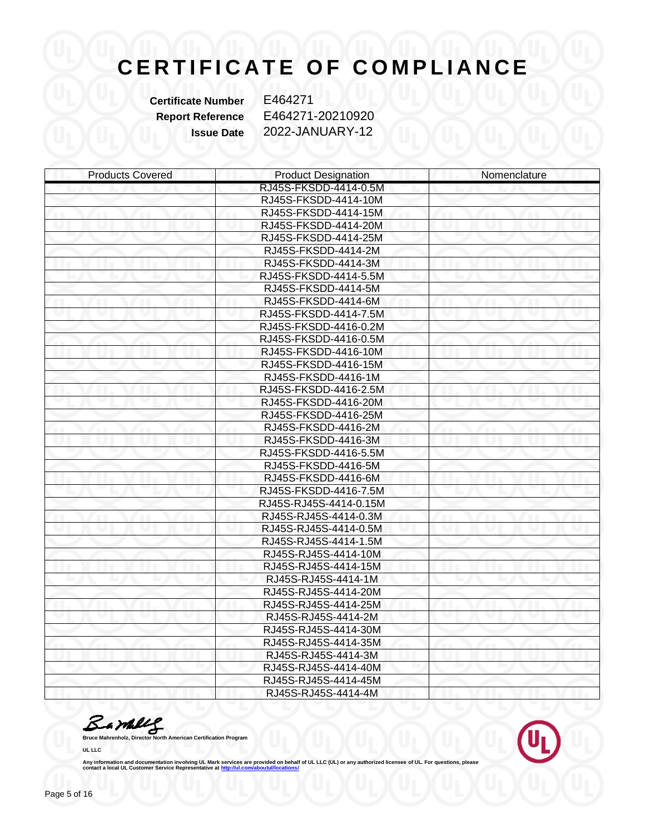**Certificate Number** E464271

**Report Reference** E464271-20210920 **Issue Date** 2022-JANUARY-12

| <b>Products Covered</b> | <b>Product Designation</b> | Nomenclature |
|-------------------------|----------------------------|--------------|
|                         | RJ45S-FKSDD-4414-0.5M      |              |
|                         | RJ45S-FKSDD-4414-10M       |              |
|                         | RJ45S-FKSDD-4414-15M       |              |
|                         | RJ45S-FKSDD-4414-20M       |              |
|                         | RJ45S-FKSDD-4414-25M       |              |
|                         | RJ45S-FKSDD-4414-2M        |              |
|                         | RJ45S-FKSDD-4414-3M        |              |
|                         | RJ45S-FKSDD-4414-5.5M      |              |
|                         | RJ45S-FKSDD-4414-5M        |              |
|                         | RJ45S-FKSDD-4414-6M        |              |
|                         | RJ45S-FKSDD-4414-7.5M      |              |
|                         | RJ45S-FKSDD-4416-0.2M      |              |
|                         | RJ45S-FKSDD-4416-0.5M      |              |
|                         | RJ45S-FKSDD-4416-10M       |              |
|                         | RJ45S-FKSDD-4416-15M       |              |
|                         | RJ45S-FKSDD-4416-1M        |              |
|                         | RJ45S-FKSDD-4416-2.5M      |              |
|                         | RJ45S-FKSDD-4416-20M       |              |
|                         | RJ45S-FKSDD-4416-25M       |              |
|                         | RJ45S-FKSDD-4416-2M        |              |
|                         | RJ45S-FKSDD-4416-3M        |              |
|                         | RJ45S-FKSDD-4416-5.5M      |              |
|                         | RJ45S-FKSDD-4416-5M        |              |
|                         | RJ45S-FKSDD-4416-6M        |              |
|                         | RJ45S-FKSDD-4416-7.5M      |              |
|                         | RJ45S-RJ45S-4414-0.15M     |              |
|                         | RJ45S-RJ45S-4414-0.3M      |              |
|                         | RJ45S-RJ45S-4414-0.5M      |              |
|                         | RJ45S-RJ45S-4414-1.5M      |              |
|                         | RJ45S-RJ45S-4414-10M       |              |
|                         | RJ45S-RJ45S-4414-15M       |              |
|                         | RJ45S-RJ45S-4414-1M        |              |
|                         | RJ45S-RJ45S-4414-20M       |              |
|                         | RJ45S-RJ45S-4414-25M       |              |
|                         | RJ45S-RJ45S-4414-2M        |              |
|                         | RJ45S-RJ45S-4414-30M       |              |
|                         | RJ45S-RJ45S-4414-35M       |              |
|                         | RJ45S-RJ45S-4414-3M        |              |
|                         | RJ45S-RJ45S-4414-40M       |              |
|                         | RJ45S-RJ45S-4414-45M       |              |
|                         | RJ45S-RJ45S-4414-4M        |              |

**Bruce Mahrenholz, Director North American Certification Program** 

**UL LLC**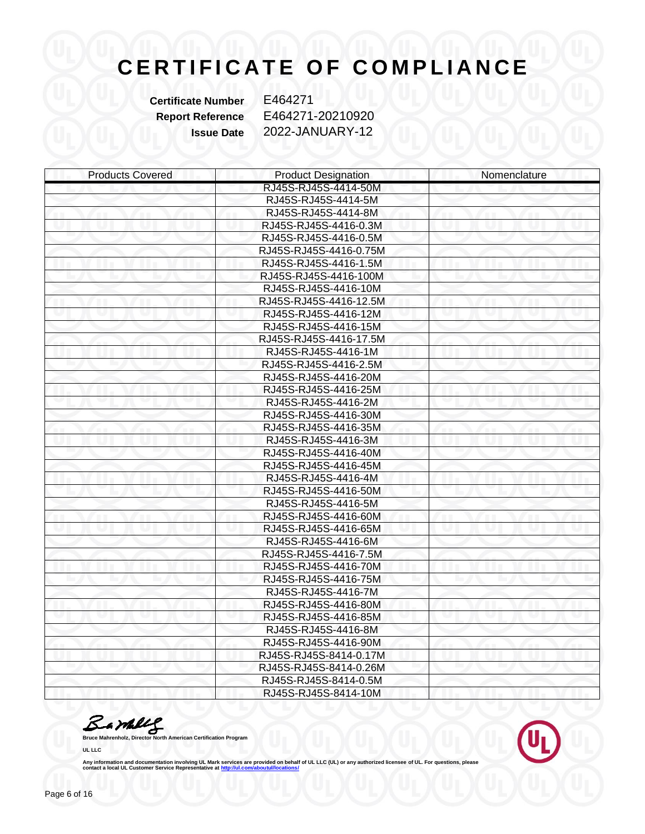**Certificate Number** E464271

**Report Reference** E464271-20210920 **Issue Date** 2022-JANUARY-12

| <b>Products Covered</b> | <b>Product Designation</b> | Nomenclature |
|-------------------------|----------------------------|--------------|
|                         | RJ45S-RJ45S-4414-50M       |              |
|                         | RJ45S-RJ45S-4414-5M        |              |
|                         | RJ45S-RJ45S-4414-8M        |              |
|                         | RJ45S-RJ45S-4416-0.3M      |              |
|                         | RJ45S-RJ45S-4416-0.5M      |              |
|                         | RJ45S-RJ45S-4416-0.75M     |              |
|                         | RJ45S-RJ45S-4416-1.5M      |              |
|                         | RJ45S-RJ45S-4416-100M      |              |
|                         | RJ45S-RJ45S-4416-10M       |              |
|                         | RJ45S-RJ45S-4416-12.5M     |              |
|                         | RJ45S-RJ45S-4416-12M       |              |
|                         | RJ45S-RJ45S-4416-15M       |              |
|                         | RJ45S-RJ45S-4416-17.5M     |              |
|                         | RJ45S-RJ45S-4416-1M        |              |
|                         | RJ45S-RJ45S-4416-2.5M      |              |
|                         | RJ45S-RJ45S-4416-20M       |              |
|                         | RJ45S-RJ45S-4416-25M       |              |
|                         | RJ45S-RJ45S-4416-2M        |              |
|                         | RJ45S-RJ45S-4416-30M       |              |
|                         | RJ45S-RJ45S-4416-35M       |              |
|                         | RJ45S-RJ45S-4416-3M        |              |
|                         | RJ45S-RJ45S-4416-40M       |              |
|                         | RJ45S-RJ45S-4416-45M       |              |
|                         | RJ45S-RJ45S-4416-4M        |              |
|                         | RJ45S-RJ45S-4416-50M       |              |
|                         | RJ45S-RJ45S-4416-5M        |              |
|                         | RJ45S-RJ45S-4416-60M       |              |
|                         | RJ45S-RJ45S-4416-65M       |              |
|                         | RJ45S-RJ45S-4416-6M        |              |
|                         | RJ45S-RJ45S-4416-7.5M      |              |
|                         | RJ45S-RJ45S-4416-70M       |              |
|                         | RJ45S-RJ45S-4416-75M       |              |
|                         | RJ45S-RJ45S-4416-7M        |              |
|                         | RJ45S-RJ45S-4416-80M       |              |
|                         | RJ45S-RJ45S-4416-85M       |              |
|                         | RJ45S-RJ45S-4416-8M        |              |
|                         | RJ45S-RJ45S-4416-90M       |              |
|                         | RJ45S-RJ45S-8414-0.17M     |              |
|                         | RJ45S-RJ45S-8414-0.26M     |              |
|                         | RJ45S-RJ45S-8414-0.5M      |              |
|                         | RJ45S-RJ45S-8414-10M       |              |

**Bruce Mahrenholz, Director North American Certification Program** 

**UL LLC**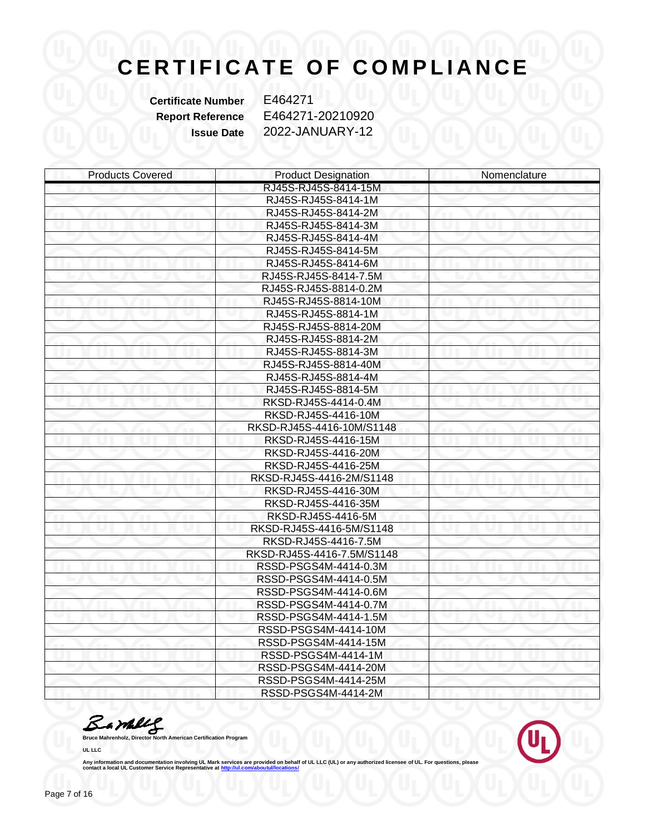**Certificate Number** E464271

**Report Reference** E464271-20210920 **Issue Date** 2022-JANUARY-12

| <b>Products Covered</b> | <b>Product Designation</b> | Nomenclature |
|-------------------------|----------------------------|--------------|
|                         | RJ45S-RJ45S-8414-15M       |              |
|                         | RJ45S-RJ45S-8414-1M        |              |
|                         | RJ45S-RJ45S-8414-2M        |              |
|                         | RJ45S-RJ45S-8414-3M        |              |
|                         | RJ45S-RJ45S-8414-4M        |              |
|                         | RJ45S-RJ45S-8414-5M        |              |
|                         | RJ45S-RJ45S-8414-6M        |              |
|                         | RJ45S-RJ45S-8414-7.5M      |              |
|                         | RJ45S-RJ45S-8814-0.2M      |              |
|                         | RJ45S-RJ45S-8814-10M       |              |
|                         | RJ45S-RJ45S-8814-1M        |              |
|                         | RJ45S-RJ45S-8814-20M       |              |
|                         | RJ45S-RJ45S-8814-2M        |              |
|                         | RJ45S-RJ45S-8814-3M        |              |
|                         | RJ45S-RJ45S-8814-40M       |              |
|                         | RJ45S-RJ45S-8814-4M        |              |
|                         | RJ45S-RJ45S-8814-5M        |              |
|                         | RKSD-RJ45S-4414-0.4M       |              |
|                         | RKSD-RJ45S-4416-10M        |              |
|                         | RKSD-RJ45S-4416-10M/S1148  |              |
|                         | RKSD-RJ45S-4416-15M        |              |
|                         | RKSD-RJ45S-4416-20M        |              |
|                         | RKSD-RJ45S-4416-25M        |              |
|                         | RKSD-RJ45S-4416-2M/S1148   |              |
|                         | RKSD-RJ45S-4416-30M        |              |
|                         | RKSD-RJ45S-4416-35M        |              |
|                         | RKSD-RJ45S-4416-5M         |              |
|                         | RKSD-RJ45S-4416-5M/S1148   |              |
|                         | RKSD-RJ45S-4416-7.5M       |              |
|                         | RKSD-RJ45S-4416-7.5M/S1148 |              |
|                         | RSSD-PSGS4M-4414-0.3M      |              |
|                         | RSSD-PSGS4M-4414-0.5M      |              |
|                         | RSSD-PSGS4M-4414-0.6M      |              |
|                         | RSSD-PSGS4M-4414-0.7M      |              |
|                         | RSSD-PSGS4M-4414-1.5M      |              |
|                         | RSSD-PSGS4M-4414-10M       |              |
|                         | RSSD-PSGS4M-4414-15M       |              |
|                         | RSSD-PSGS4M-4414-1M        |              |
|                         | RSSD-PSGS4M-4414-20M       |              |
|                         | RSSD-PSGS4M-4414-25M       |              |
|                         | RSSD-PSGS4M-4414-2M        |              |

**Bruce Mahrenholz, Director North American Certification Program** 

**UL LLC**

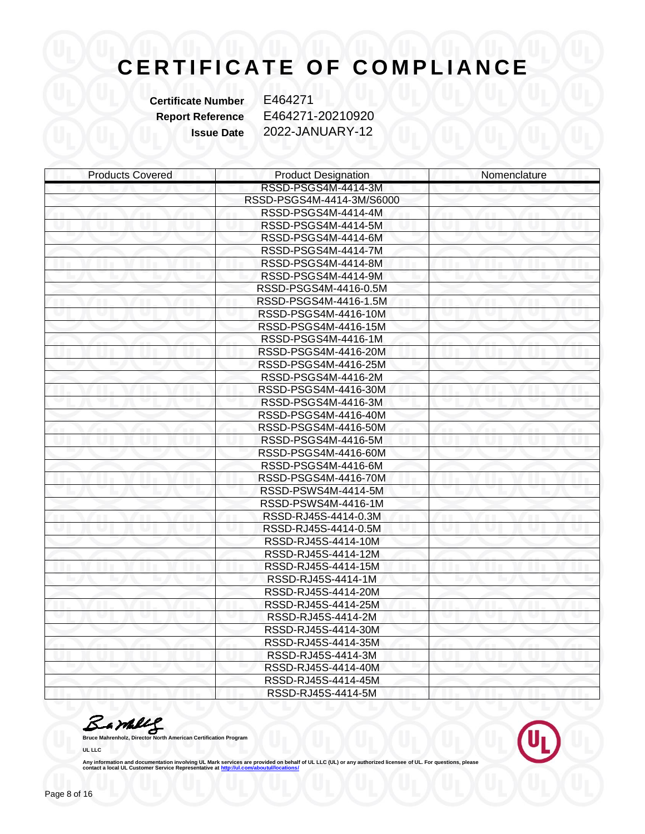**Certificate Number** E464271

**Report Reference** E464271-20210920 **Issue Date** 2022-JANUARY-12

| <b>Products Covered</b> | <b>Product Designation</b> | Nomenclature |
|-------------------------|----------------------------|--------------|
|                         | RSSD-PSGS4M-4414-3M        |              |
|                         | RSSD-PSGS4M-4414-3M/S6000  |              |
|                         | RSSD-PSGS4M-4414-4M        |              |
|                         | RSSD-PSGS4M-4414-5M        |              |
|                         | RSSD-PSGS4M-4414-6M        |              |
|                         | RSSD-PSGS4M-4414-7M        |              |
|                         | RSSD-PSGS4M-4414-8M        |              |
|                         | RSSD-PSGS4M-4414-9M        |              |
|                         | RSSD-PSGS4M-4416-0.5M      |              |
|                         | RSSD-PSGS4M-4416-1.5M      |              |
|                         | RSSD-PSGS4M-4416-10M       |              |
|                         | RSSD-PSGS4M-4416-15M       |              |
|                         | RSSD-PSGS4M-4416-1M        |              |
|                         | RSSD-PSGS4M-4416-20M       |              |
|                         | RSSD-PSGS4M-4416-25M       |              |
|                         | RSSD-PSGS4M-4416-2M        |              |
|                         | RSSD-PSGS4M-4416-30M       |              |
|                         | RSSD-PSGS4M-4416-3M        |              |
|                         | RSSD-PSGS4M-4416-40M       |              |
|                         | RSSD-PSGS4M-4416-50M       |              |
|                         | RSSD-PSGS4M-4416-5M        |              |
|                         | RSSD-PSGS4M-4416-60M       |              |
|                         | RSSD-PSGS4M-4416-6M        |              |
|                         | RSSD-PSGS4M-4416-70M       |              |
|                         | RSSD-PSWS4M-4414-5M        |              |
|                         | RSSD-PSWS4M-4416-1M        |              |
|                         | RSSD-RJ45S-4414-0.3M       |              |
|                         | RSSD-RJ45S-4414-0.5M       |              |
|                         | RSSD-RJ45S-4414-10M        |              |
|                         | RSSD-RJ45S-4414-12M        |              |
|                         | RSSD-RJ45S-4414-15M        |              |
|                         | RSSD-RJ45S-4414-1M         |              |
|                         | RSSD-RJ45S-4414-20M        |              |
|                         | RSSD-RJ45S-4414-25M        |              |
|                         | RSSD-RJ45S-4414-2M         |              |
|                         | RSSD-RJ45S-4414-30M        |              |
|                         | RSSD-RJ45S-4414-35M        |              |
|                         | RSSD-RJ45S-4414-3M         |              |
|                         | RSSD-RJ45S-4414-40M        |              |
|                         | RSSD-RJ45S-4414-45M        |              |
|                         | RSSD-RJ45S-4414-5M         |              |

**Bruce Mahrenholz, Director North American Certification Program** 

**UL LLC**

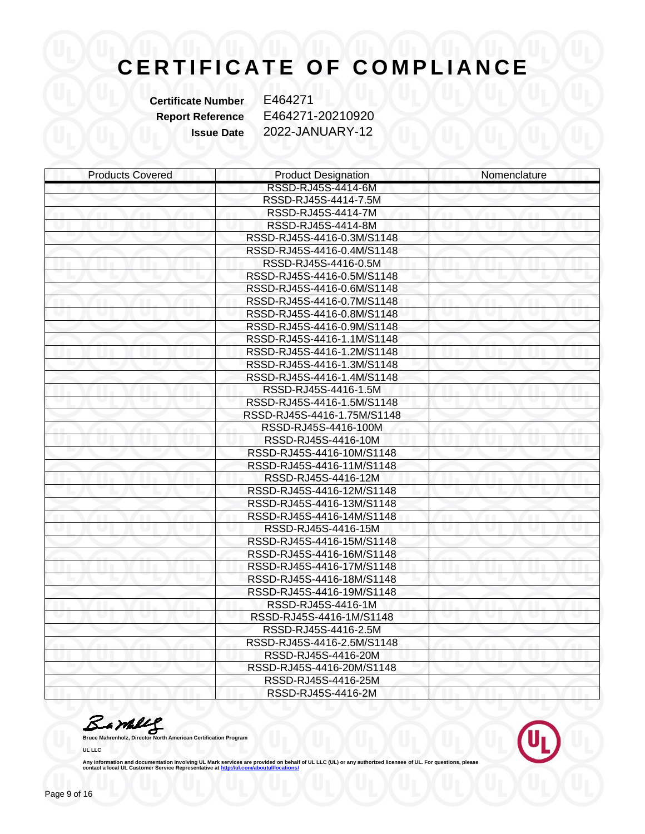**Certificate Number** E464271

**Report Reference** E464271-20210920 **Issue Date** 2022-JANUARY-12

| <b>Products Covered</b> | <b>Product Designation</b>  | Nomenclature |
|-------------------------|-----------------------------|--------------|
|                         | RSSD-RJ45S-4414-6M          |              |
|                         | RSSD-RJ45S-4414-7.5M        |              |
|                         | RSSD-RJ45S-4414-7M          |              |
|                         | RSSD-RJ45S-4414-8M          |              |
|                         | RSSD-RJ45S-4416-0.3M/S1148  |              |
|                         | RSSD-RJ45S-4416-0.4M/S1148  |              |
|                         | RSSD-RJ45S-4416-0.5M        |              |
|                         | RSSD-RJ45S-4416-0.5M/S1148  |              |
|                         | RSSD-RJ45S-4416-0.6M/S1148  |              |
|                         | RSSD-RJ45S-4416-0.7M/S1148  |              |
|                         | RSSD-RJ45S-4416-0.8M/S1148  |              |
|                         | RSSD-RJ45S-4416-0.9M/S1148  |              |
|                         | RSSD-RJ45S-4416-1.1M/S1148  |              |
|                         | RSSD-RJ45S-4416-1.2M/S1148  |              |
|                         | RSSD-RJ45S-4416-1.3M/S1148  |              |
|                         | RSSD-RJ45S-4416-1.4M/S1148  |              |
|                         | RSSD-RJ45S-4416-1.5M        |              |
|                         | RSSD-RJ45S-4416-1.5M/S1148  |              |
|                         | RSSD-RJ45S-4416-1.75M/S1148 |              |
|                         | RSSD-RJ45S-4416-100M        |              |
|                         | RSSD-RJ45S-4416-10M         |              |
|                         | RSSD-RJ45S-4416-10M/S1148   |              |
|                         | RSSD-RJ45S-4416-11M/S1148   |              |
|                         | RSSD-RJ45S-4416-12M         |              |
|                         | RSSD-RJ45S-4416-12M/S1148   |              |
|                         | RSSD-RJ45S-4416-13M/S1148   |              |
|                         | RSSD-RJ45S-4416-14M/S1148   |              |
|                         | RSSD-RJ45S-4416-15M         |              |
|                         | RSSD-RJ45S-4416-15M/S1148   |              |
|                         | RSSD-RJ45S-4416-16M/S1148   |              |
|                         | RSSD-RJ45S-4416-17M/S1148   |              |
|                         | RSSD-RJ45S-4416-18M/S1148   |              |
|                         | RSSD-RJ45S-4416-19M/S1148   |              |
|                         | RSSD-RJ45S-4416-1M          |              |
|                         | RSSD-RJ45S-4416-1M/S1148    |              |
|                         | RSSD-RJ45S-4416-2.5M        |              |
|                         | RSSD-RJ45S-4416-2.5M/S1148  |              |
|                         | RSSD-RJ45S-4416-20M         |              |
|                         | RSSD-RJ45S-4416-20M/S1148   |              |
|                         | RSSD-RJ45S-4416-25M         |              |
|                         | RSSD-RJ45S-4416-2M          |              |

**Bruce Mahrenholz, Director North American Certification Program** 

**UL LLC**

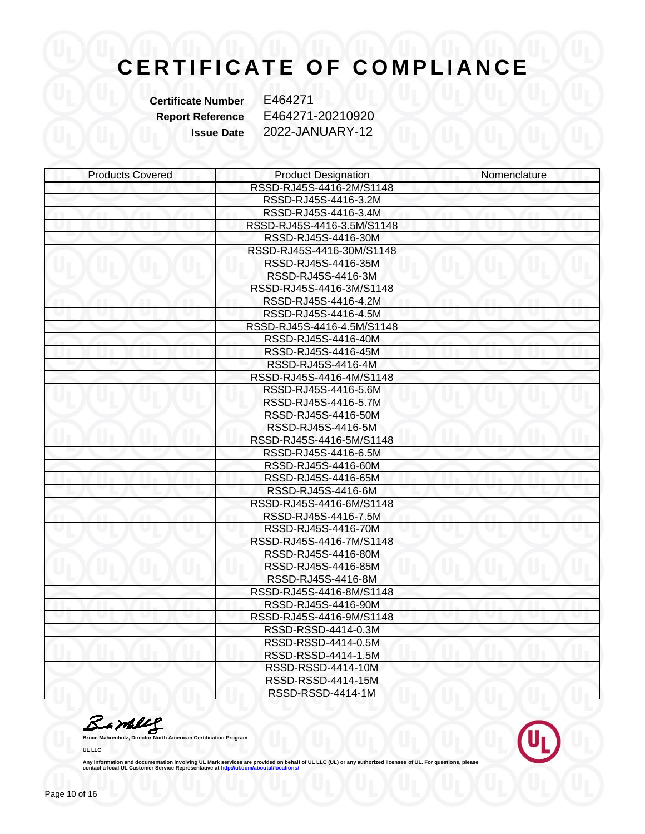**Certificate Number** E464271

**Report Reference** E464271-20210920 **Issue Date** 2022-JANUARY-12

| <b>Products Covered</b> | <b>Product Designation</b> | Nomenclature |
|-------------------------|----------------------------|--------------|
|                         | RSSD-RJ45S-4416-2M/S1148   |              |
|                         | RSSD-RJ45S-4416-3.2M       |              |
|                         | RSSD-RJ45S-4416-3.4M       |              |
|                         | RSSD-RJ45S-4416-3.5M/S1148 |              |
|                         | RSSD-RJ45S-4416-30M        |              |
|                         | RSSD-RJ45S-4416-30M/S1148  |              |
|                         | RSSD-RJ45S-4416-35M        |              |
|                         | RSSD-RJ45S-4416-3M         |              |
|                         | RSSD-RJ45S-4416-3M/S1148   |              |
|                         | RSSD-RJ45S-4416-4.2M       |              |
|                         | RSSD-RJ45S-4416-4.5M       |              |
|                         | RSSD-RJ45S-4416-4.5M/S1148 |              |
|                         | RSSD-RJ45S-4416-40M        |              |
|                         | RSSD-RJ45S-4416-45M        |              |
|                         | RSSD-RJ45S-4416-4M         |              |
|                         | RSSD-RJ45S-4416-4M/S1148   |              |
|                         | RSSD-RJ45S-4416-5.6M       |              |
|                         | RSSD-RJ45S-4416-5.7M       |              |
|                         | RSSD-RJ45S-4416-50M        |              |
|                         | RSSD-RJ45S-4416-5M         |              |
|                         | RSSD-RJ45S-4416-5M/S1148   |              |
|                         | RSSD-RJ45S-4416-6.5M       |              |
|                         | RSSD-RJ45S-4416-60M        |              |
|                         | RSSD-RJ45S-4416-65M        |              |
|                         | RSSD-RJ45S-4416-6M         |              |
|                         | RSSD-RJ45S-4416-6M/S1148   |              |
|                         | RSSD-RJ45S-4416-7.5M       |              |
|                         | RSSD-RJ45S-4416-70M        |              |
|                         | RSSD-RJ45S-4416-7M/S1148   |              |
|                         | RSSD-RJ45S-4416-80M        |              |
|                         | RSSD-RJ45S-4416-85M        |              |
|                         | RSSD-RJ45S-4416-8M         |              |
|                         | RSSD-RJ45S-4416-8M/S1148   |              |
|                         | RSSD-RJ45S-4416-90M        |              |
|                         | RSSD-RJ45S-4416-9M/S1148   |              |
|                         | RSSD-RSSD-4414-0.3M        |              |
|                         | RSSD-RSSD-4414-0.5M        |              |
|                         | RSSD-RSSD-4414-1.5M        |              |
|                         | RSSD-RSSD-4414-10M         |              |
|                         | RSSD-RSSD-4414-15M         |              |
|                         | RSSD-RSSD-4414-1M          |              |

**Bruce Mahrenholz, Director North American Certification Program** 

**UL LLC**

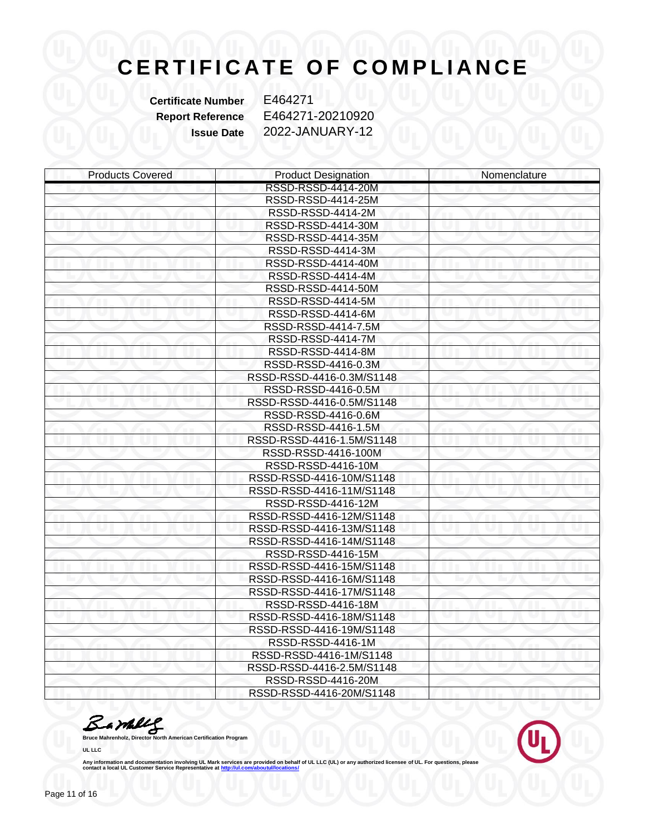**Certificate Number** E464271

**Report Reference** E464271-20210920 **Issue Date** 2022-JANUARY-12

| <b>Products Covered</b> | <b>Product Designation</b> | Nomenclature |
|-------------------------|----------------------------|--------------|
|                         | RSSD-RSSD-4414-20M         |              |
|                         | RSSD-RSSD-4414-25M         |              |
|                         | RSSD-RSSD-4414-2M          |              |
|                         | RSSD-RSSD-4414-30M         |              |
|                         | RSSD-RSSD-4414-35M         |              |
|                         | RSSD-RSSD-4414-3M          |              |
|                         | RSSD-RSSD-4414-40M         |              |
|                         | RSSD-RSSD-4414-4M          |              |
|                         | RSSD-RSSD-4414-50M         |              |
|                         | RSSD-RSSD-4414-5M          |              |
|                         | RSSD-RSSD-4414-6M          |              |
|                         | RSSD-RSSD-4414-7.5M        |              |
|                         | RSSD-RSSD-4414-7M          |              |
|                         | RSSD-RSSD-4414-8M          |              |
|                         | RSSD-RSSD-4416-0.3M        |              |
|                         | RSSD-RSSD-4416-0.3M/S1148  |              |
|                         | RSSD-RSSD-4416-0.5M        |              |
|                         | RSSD-RSSD-4416-0.5M/S1148  |              |
|                         | RSSD-RSSD-4416-0.6M        |              |
|                         | RSSD-RSSD-4416-1.5M        |              |
|                         | RSSD-RSSD-4416-1.5M/S1148  |              |
|                         | RSSD-RSSD-4416-100M        |              |
|                         | RSSD-RSSD-4416-10M         |              |
|                         | RSSD-RSSD-4416-10M/S1148   |              |
|                         | RSSD-RSSD-4416-11M/S1148   |              |
|                         | RSSD-RSSD-4416-12M         |              |
|                         | RSSD-RSSD-4416-12M/S1148   |              |
|                         | RSSD-RSSD-4416-13M/S1148   |              |
|                         | RSSD-RSSD-4416-14M/S1148   |              |
|                         | RSSD-RSSD-4416-15M         |              |
|                         | RSSD-RSSD-4416-15M/S1148   |              |
|                         | RSSD-RSSD-4416-16M/S1148   |              |
|                         | RSSD-RSSD-4416-17M/S1148   |              |
|                         | RSSD-RSSD-4416-18M         |              |
|                         | RSSD-RSSD-4416-18M/S1148   |              |
|                         | RSSD-RSSD-4416-19M/S1148   |              |
|                         | RSSD-RSSD-4416-1M          |              |
|                         | RSSD-RSSD-4416-1M/S1148    |              |
|                         | RSSD-RSSD-4416-2.5M/S1148  |              |
|                         | RSSD-RSSD-4416-20M         |              |
|                         | RSSD-RSSD-4416-20M/S1148   |              |

**Bruce Mahrenholz, Director North American Certification Program** 

**UL LLC**

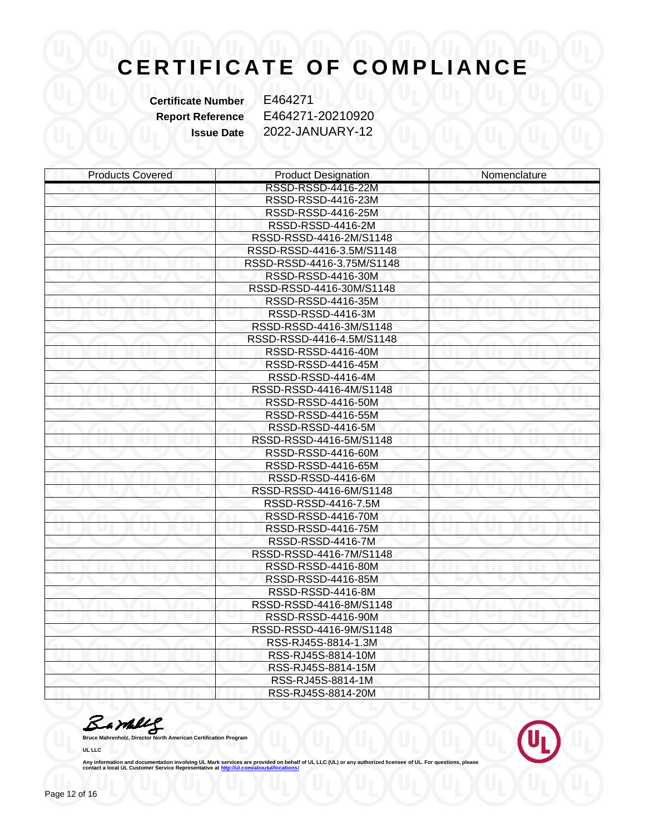**Certificate Number** E464271

**Report Reference** E464271-20210920 **Issue Date** 2022-JANUARY-12

| <b>Products Covered</b> | <b>Product Designation</b> | Nomenclature |
|-------------------------|----------------------------|--------------|
|                         | RSSD-RSSD-4416-22M         |              |
|                         | RSSD-RSSD-4416-23M         |              |
|                         | RSSD-RSSD-4416-25M         |              |
|                         | RSSD-RSSD-4416-2M          |              |
|                         | RSSD-RSSD-4416-2M/S1148    |              |
|                         | RSSD-RSSD-4416-3.5M/S1148  |              |
|                         | RSSD-RSSD-4416-3.75M/S1148 |              |
|                         | RSSD-RSSD-4416-30M         |              |
|                         | RSSD-RSSD-4416-30M/S1148   |              |
|                         | RSSD-RSSD-4416-35M         |              |
|                         | RSSD-RSSD-4416-3M          |              |
|                         | RSSD-RSSD-4416-3M/S1148    |              |
|                         | RSSD-RSSD-4416-4.5M/S1148  |              |
|                         | RSSD-RSSD-4416-40M         |              |
|                         | RSSD-RSSD-4416-45M         |              |
|                         | RSSD-RSSD-4416-4M          |              |
|                         | RSSD-RSSD-4416-4M/S1148    |              |
|                         | RSSD-RSSD-4416-50M         |              |
|                         | RSSD-RSSD-4416-55M         |              |
|                         | RSSD-RSSD-4416-5M          |              |
|                         | RSSD-RSSD-4416-5M/S1148    |              |
|                         | RSSD-RSSD-4416-60M         |              |
|                         | RSSD-RSSD-4416-65M         |              |
|                         | RSSD-RSSD-4416-6M          |              |
|                         | RSSD-RSSD-4416-6M/S1148    |              |
|                         | RSSD-RSSD-4416-7.5M        |              |
|                         | RSSD-RSSD-4416-70M         |              |
|                         | RSSD-RSSD-4416-75M         |              |
|                         | RSSD-RSSD-4416-7M          |              |
|                         | RSSD-RSSD-4416-7M/S1148    |              |
|                         | RSSD-RSSD-4416-80M         |              |
|                         | RSSD-RSSD-4416-85M         |              |
|                         | RSSD-RSSD-4416-8M          |              |
|                         | RSSD-RSSD-4416-8M/S1148    |              |
|                         | RSSD-RSSD-4416-90M         |              |
|                         | RSSD-RSSD-4416-9M/S1148    |              |
|                         | RSS-RJ45S-8814-1.3M        |              |
|                         | RSS-RJ45S-8814-10M         |              |
|                         | RSS-RJ45S-8814-15M         |              |
|                         | RSS-RJ45S-8814-1M          |              |
|                         | RSS-RJ45S-8814-20M         |              |

**Bruce Mahrenholz, Director North American Certification Program** 

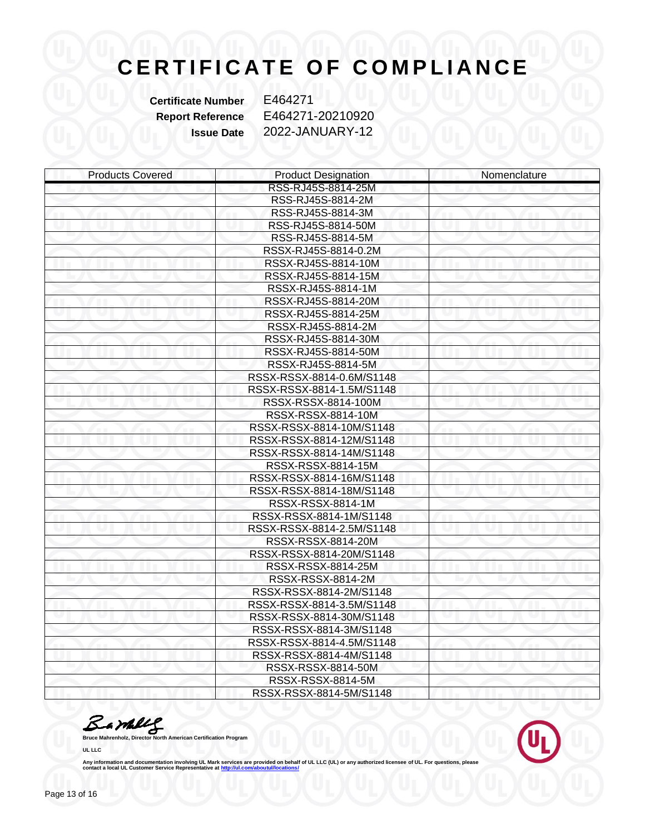**Certificate Number** E464271

**Report Reference** E464271-20210920 **Issue Date** 2022-JANUARY-12

| <b>Products Covered</b> | <b>Product Designation</b> | Nomenclature |
|-------------------------|----------------------------|--------------|
|                         | RSS-RJ45S-8814-25M         |              |
|                         | RSS-RJ45S-8814-2M          |              |
|                         | RSS-RJ45S-8814-3M          |              |
|                         | RSS-RJ45S-8814-50M         |              |
|                         | RSS-RJ45S-8814-5M          |              |
|                         | RSSX-RJ45S-8814-0.2M       |              |
|                         | RSSX-RJ45S-8814-10M        |              |
|                         | RSSX-RJ45S-8814-15M        |              |
|                         | RSSX-RJ45S-8814-1M         |              |
|                         | RSSX-RJ45S-8814-20M        |              |
|                         | RSSX-RJ45S-8814-25M        |              |
|                         | RSSX-RJ45S-8814-2M         |              |
|                         | RSSX-RJ45S-8814-30M        |              |
|                         | RSSX-RJ45S-8814-50M        |              |
|                         | RSSX-RJ45S-8814-5M         |              |
|                         | RSSX-RSSX-8814-0.6M/S1148  |              |
|                         | RSSX-RSSX-8814-1.5M/S1148  |              |
|                         | RSSX-RSSX-8814-100M        |              |
|                         | RSSX-RSSX-8814-10M         |              |
|                         | RSSX-RSSX-8814-10M/S1148   |              |
|                         | RSSX-RSSX-8814-12M/S1148   |              |
|                         | RSSX-RSSX-8814-14M/S1148   |              |
|                         | RSSX-RSSX-8814-15M         |              |
|                         | RSSX-RSSX-8814-16M/S1148   |              |
|                         | RSSX-RSSX-8814-18M/S1148   |              |
|                         | RSSX-RSSX-8814-1M          |              |
|                         | RSSX-RSSX-8814-1M/S1148    |              |
|                         | RSSX-RSSX-8814-2.5M/S1148  |              |
|                         | RSSX-RSSX-8814-20M         |              |
|                         | RSSX-RSSX-8814-20M/S1148   |              |
|                         | RSSX-RSSX-8814-25M         |              |
|                         | RSSX-RSSX-8814-2M          |              |
|                         | RSSX-RSSX-8814-2M/S1148    |              |
|                         | RSSX-RSSX-8814-3.5M/S1148  |              |
|                         | RSSX-RSSX-8814-30M/S1148   |              |
|                         | RSSX-RSSX-8814-3M/S1148    |              |
|                         | RSSX-RSSX-8814-4.5M/S1148  |              |
|                         | RSSX-RSSX-8814-4M/S1148    |              |
|                         | RSSX-RSSX-8814-50M         |              |
|                         | RSSX-RSSX-8814-5M          |              |
|                         | RSSX-RSSX-8814-5M/S1148    |              |

**Bruce Mahrenholz, Director North American Certification Program** 

**UL LLC**

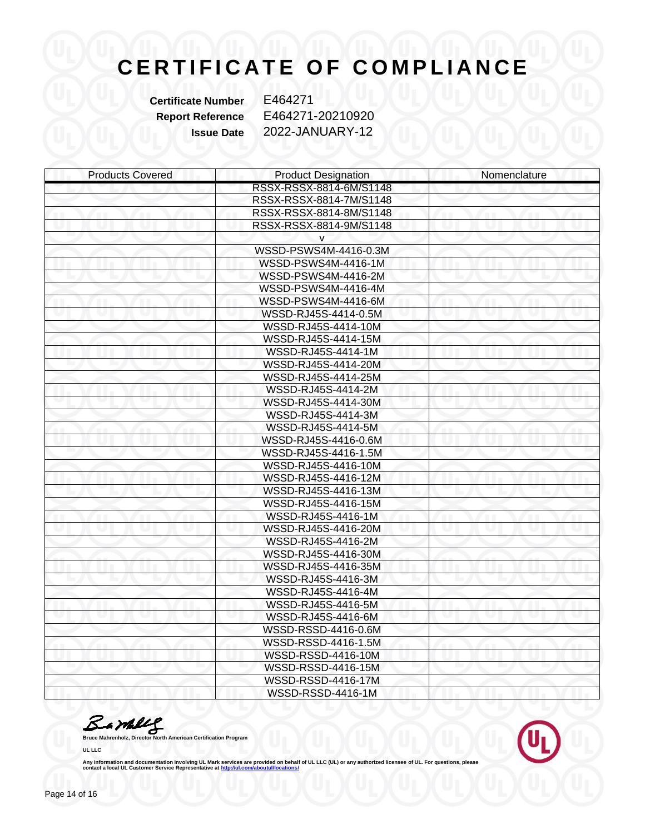**Certificate Number** E464271

**Report Reference** E464271-20210920 **Issue Date** 2022-JANUARY-12

| <b>Products Covered</b> | <b>Product Designation</b> | Nomenclature |
|-------------------------|----------------------------|--------------|
|                         | RSSX-RSSX-8814-6M/S1148    |              |
|                         | RSSX-RSSX-8814-7M/S1148    |              |
|                         | RSSX-RSSX-8814-8M/S1148    |              |
|                         | RSSX-RSSX-8814-9M/S1148    |              |
|                         | v                          |              |
|                         | WSSD-PSWS4M-4416-0.3M      |              |
|                         | WSSD-PSWS4M-4416-1M        |              |
|                         | WSSD-PSWS4M-4416-2M        |              |
|                         | WSSD-PSWS4M-4416-4M        |              |
|                         | WSSD-PSWS4M-4416-6M        |              |
|                         | WSSD-RJ45S-4414-0.5M       |              |
|                         | WSSD-RJ45S-4414-10M        |              |
|                         | WSSD-RJ45S-4414-15M        |              |
|                         | WSSD-RJ45S-4414-1M         |              |
|                         | WSSD-RJ45S-4414-20M        |              |
|                         | WSSD-RJ45S-4414-25M        |              |
|                         | WSSD-RJ45S-4414-2M         |              |
|                         | WSSD-RJ45S-4414-30M        |              |
|                         | WSSD-RJ45S-4414-3M         |              |
|                         | WSSD-RJ45S-4414-5M         |              |
|                         | WSSD-RJ45S-4416-0.6M       |              |
|                         | WSSD-RJ45S-4416-1.5M       |              |
|                         | WSSD-RJ45S-4416-10M        |              |
|                         | WSSD-RJ45S-4416-12M        |              |
|                         | WSSD-RJ45S-4416-13M        |              |
|                         | WSSD-RJ45S-4416-15M        |              |
|                         | WSSD-RJ45S-4416-1M         |              |
|                         | WSSD-RJ45S-4416-20M        |              |
|                         | WSSD-RJ45S-4416-2M         |              |
|                         | WSSD-RJ45S-4416-30M        |              |
|                         | WSSD-RJ45S-4416-35M        |              |
|                         | WSSD-RJ45S-4416-3M         |              |
|                         | WSSD-RJ45S-4416-4M         |              |
|                         | WSSD-RJ45S-4416-5M         |              |
|                         | WSSD-RJ45S-4416-6M         |              |
|                         | WSSD-RSSD-4416-0.6M        |              |
|                         | WSSD-RSSD-4416-1.5M        |              |
|                         | WSSD-RSSD-4416-10M         |              |
|                         | WSSD-RSSD-4416-15M         |              |
|                         | WSSD-RSSD-4416-17M         |              |
|                         | WSSD-RSSD-4416-1M          |              |

**Bruce Mahrenholz, Director North American Certification Program** 

**UL LLC**

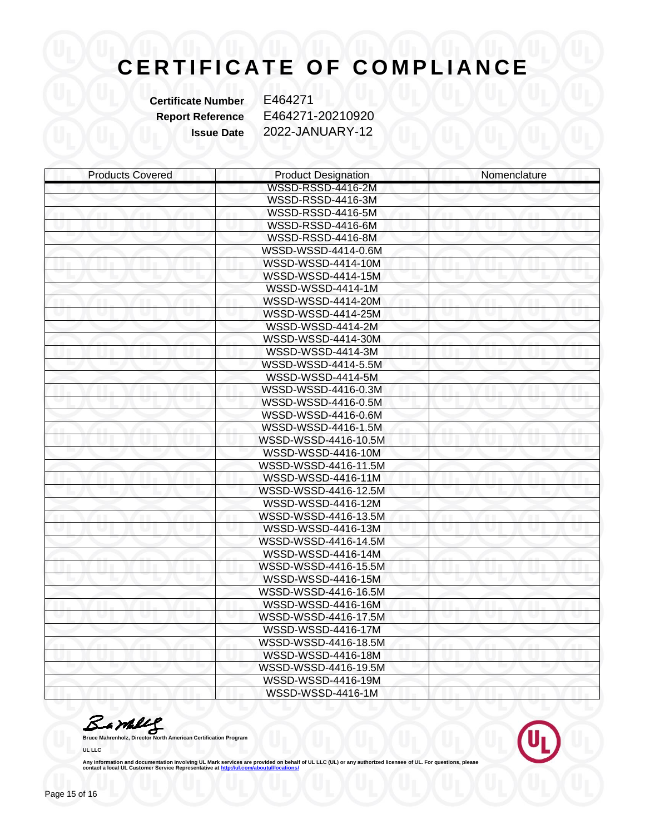**Certificate Number** E464271

**Report Reference** E464271-20210920 **Issue Date** 2022-JANUARY-12

| <b>Products Covered</b> | <b>Product Designation</b> | Nomenclature |
|-------------------------|----------------------------|--------------|
|                         | WSSD-RSSD-4416-2M          |              |
|                         | WSSD-RSSD-4416-3M          |              |
|                         | WSSD-RSSD-4416-5M          |              |
|                         | WSSD-RSSD-4416-6M          |              |
|                         | WSSD-RSSD-4416-8M          |              |
|                         | WSSD-WSSD-4414-0.6M        |              |
|                         | WSSD-WSSD-4414-10M         |              |
|                         | WSSD-WSSD-4414-15M         |              |
|                         | WSSD-WSSD-4414-1M          |              |
|                         | WSSD-WSSD-4414-20M         |              |
|                         | WSSD-WSSD-4414-25M         |              |
|                         | WSSD-WSSD-4414-2M          |              |
|                         | WSSD-WSSD-4414-30M         |              |
|                         | WSSD-WSSD-4414-3M          |              |
|                         | WSSD-WSSD-4414-5.5M        |              |
|                         | WSSD-WSSD-4414-5M          |              |
|                         | WSSD-WSSD-4416-0.3M        |              |
|                         | WSSD-WSSD-4416-0.5M        |              |
|                         | WSSD-WSSD-4416-0.6M        |              |
|                         | WSSD-WSSD-4416-1.5M        |              |
|                         | WSSD-WSSD-4416-10.5M       |              |
|                         | WSSD-WSSD-4416-10M         |              |
|                         | WSSD-WSSD-4416-11.5M       |              |
|                         | WSSD-WSSD-4416-11M         |              |
|                         | WSSD-WSSD-4416-12.5M       |              |
|                         | WSSD-WSSD-4416-12M         |              |
|                         | WSSD-WSSD-4416-13.5M       |              |
|                         | WSSD-WSSD-4416-13M         |              |
|                         | WSSD-WSSD-4416-14.5M       |              |
|                         | WSSD-WSSD-4416-14M         |              |
|                         | WSSD-WSSD-4416-15.5M       |              |
|                         | WSSD-WSSD-4416-15M         |              |
|                         | WSSD-WSSD-4416-16.5M       |              |
|                         | WSSD-WSSD-4416-16M         |              |
|                         | WSSD-WSSD-4416-17.5M       |              |
|                         | WSSD-WSSD-4416-17M         |              |
|                         | WSSD-WSSD-4416-18.5M       |              |
|                         | WSSD-WSSD-4416-18M         |              |
|                         | WSSD-WSSD-4416-19.5M       |              |
|                         | WSSD-WSSD-4416-19M         |              |
|                         | WSSD-WSSD-4416-1M          |              |

**Bruce Mahrenholz, Director North American Certification Program** 

**UL LLC**